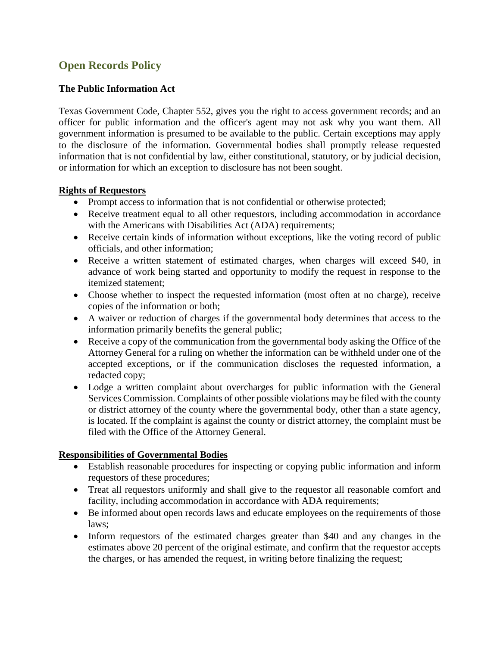# **Open Records Policy**

## **The Public Information Act**

Texas Government Code, Chapter 552, gives you the right to access government records; and an officer for public information and the officer's agent may not ask why you want them. All government information is presumed to be available to the public. Certain exceptions may apply to the disclosure of the information. Governmental bodies shall promptly release requested information that is not confidential by law, either constitutional, statutory, or by judicial decision, or information for which an exception to disclosure has not been sought.

### **Rights of Requestors**

- Prompt access to information that is not confidential or otherwise protected;
- Receive treatment equal to all other requestors, including accommodation in accordance with the Americans with Disabilities Act (ADA) requirements;
- Receive certain kinds of information without exceptions, like the voting record of public officials, and other information;
- Receive a written statement of estimated charges, when charges will exceed \$40, in advance of work being started and opportunity to modify the request in response to the itemized statement;
- Choose whether to inspect the requested information (most often at no charge), receive copies of the information or both;
- A waiver or reduction of charges if the governmental body determines that access to the information primarily benefits the general public;
- Receive a copy of the communication from the governmental body asking the Office of the Attorney General for a ruling on whether the information can be withheld under one of the accepted exceptions, or if the communication discloses the requested information, a redacted copy;
- Lodge a written complaint about overcharges for public information with the General Services Commission. Complaints of other possible violations may be filed with the county or district attorney of the county where the governmental body, other than a state agency, is located. If the complaint is against the county or district attorney, the complaint must be filed with the Office of the Attorney General.

### **Responsibilities of Governmental Bodies**

- Establish reasonable procedures for inspecting or copying public information and inform requestors of these procedures;
- Treat all requestors uniformly and shall give to the requestor all reasonable comfort and facility, including accommodation in accordance with ADA requirements;
- Be informed about open records laws and educate employees on the requirements of those laws;
- Inform requestors of the estimated charges greater than \$40 and any changes in the estimates above 20 percent of the original estimate, and confirm that the requestor accepts the charges, or has amended the request, in writing before finalizing the request;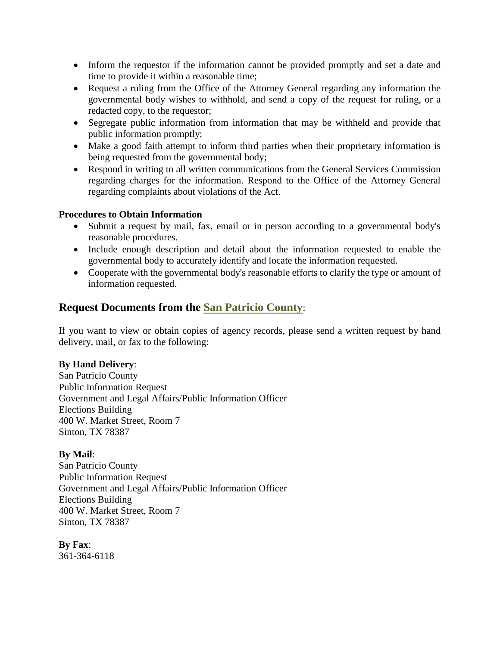- Inform the requestor if the information cannot be provided promptly and set a date and time to provide it within a reasonable time;
- Request a ruling from the Office of the Attorney General regarding any information the governmental body wishes to withhold, and send a copy of the request for ruling, or a redacted copy, to the requestor;
- Segregate public information from information that may be withheld and provide that public information promptly;
- Make a good faith attempt to inform third parties when their proprietary information is being requested from the governmental body;
- Respond in writing to all written communications from the General Services Commission regarding charges for the information. Respond to the Office of the Attorney General regarding complaints about violations of the Act.

#### **Procedures to Obtain Information**

- Submit a request by mail, fax, email or in person according to a governmental body's reasonable procedures.
- Include enough description and detail about the information requested to enable the governmental body to accurately identify and locate the information requested.
- Cooperate with the governmental body's reasonable efforts to clarify the type or amount of information requested.

# **Request Documents from the San Patricio County**:

If you want to view or obtain copies of agency records, please send a written request by hand delivery, mail, or fax to the following:

### **By Hand Delivery**:

San Patricio County Public Information Request Government and Legal Affairs/Public Information Officer Elections Building 400 W. Market Street, Room 7 Sinton, TX 78387

### **By Mail**:

San Patricio County Public Information Request Government and Legal Affairs/Public Information Officer Elections Building 400 W. Market Street, Room 7 Sinton, TX 78387

### **By Fax**:

361-364-6118